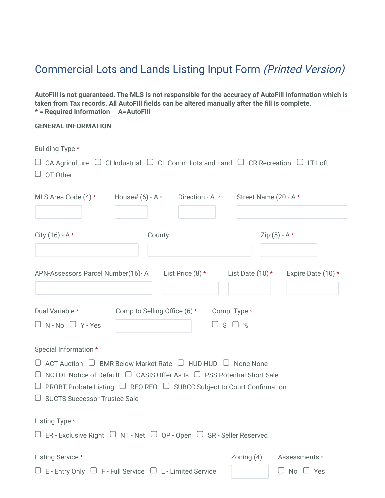## Commercial Lots and Lands Listing Input Form (Printed Version)

**AutoFill is not guaranteed. The MLS is not responsible for the accuracy of AutoFill information which is taken from Tax records. All AutoFill fields can be altered manually after the fill is complete. \* = Required Information A=AutoFill**

## **GENERAL INFORMATION**

| Building Type *<br>$\Box$ CA Agriculture $\Box$ CI Industrial $\Box$ CL Comm Lots and Land $\Box$ CR Recreation $\Box$ LT Loft<br>OT Other |                                          |                    |                 |                      |
|--------------------------------------------------------------------------------------------------------------------------------------------|------------------------------------------|--------------------|-----------------|----------------------|
| MLS Area Code $(4)$ * House# $(6)$ - A * Direction - A * Street Name $(20 - A^*)$                                                          |                                          |                    |                 |                      |
|                                                                                                                                            |                                          |                    |                 |                      |
| City $(16) - A *$                                                                                                                          | County                                   |                    | Zip $(5) - A *$ |                      |
|                                                                                                                                            |                                          |                    |                 |                      |
| APN-Assessors Parcel Number(16)-A List Price (8) * List Date (10) * Expire Date (10) *                                                     |                                          |                    |                 |                      |
| Dual Variable *                                                                                                                            | Comp to Selling Office (6) * Comp Type * |                    |                 |                      |
| $\Box$ N - No $\Box$ Y - Yes                                                                                                               |                                          | $\Box$ \$ $\Box$ % |                 |                      |
| Special Information *                                                                                                                      |                                          |                    |                 |                      |
| ACT Auction $\Box$ BMR Below Market Rate $\Box$ HUD HUD $\Box$ None None<br>∪                                                              |                                          |                    |                 |                      |
| NOTDF Notice of Default $\Box$ OASIS Offer As Is $\Box$ PSS Potential Short Sale<br>◡                                                      |                                          |                    |                 |                      |
| $\Box$ PROBT Probate Listing $\Box$ REO REO $\Box$ SUBCC Subject to Court Confirmation                                                     |                                          |                    |                 |                      |
| $\Box$ SUCTS Successor Trustee Sale                                                                                                        |                                          |                    |                 |                      |
| Listing Type *                                                                                                                             |                                          |                    |                 |                      |
| $\Box$ ER - Exclusive Right $\Box$ NT - Net $\Box$ OP - Open $\Box$ SR - Seller Reserved                                                   |                                          |                    |                 |                      |
| Listing Service *                                                                                                                          |                                          |                    | Zoning (4)      | Assessments *        |
| $\Box$ E - Entry Only $\Box$ F - Full Service $\Box$ L - Limited Service                                                                   |                                          |                    |                 | $\Box$ No $\Box$ Yes |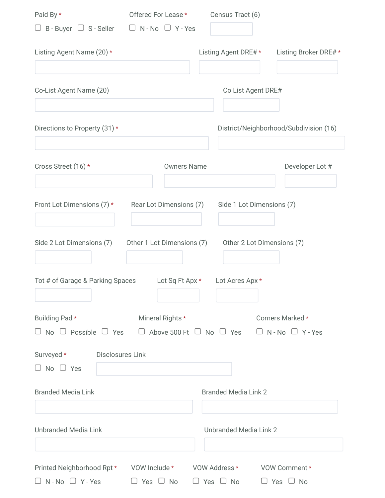| Paid By *                                                                               | Offered For Lease * Census Tract (6) |                                                   |                                                  |
|-----------------------------------------------------------------------------------------|--------------------------------------|---------------------------------------------------|--------------------------------------------------|
| □ B - Buyer □ S - Seller □ N - No □ Y - Yes                                             |                                      |                                                   |                                                  |
| Listing Agent Name (20) *                                                               |                                      | Listing Agent DRE# *                              | Listing Broker DRE#*                             |
| Co-List Agent Name (20)                                                                 |                                      | Co List Agent DRE#                                |                                                  |
| Directions to Property (31) *                                                           |                                      |                                                   | District/Neighborhood/Subdivision (16)           |
| Cross Street (16) *                                                                     | <b>Owners Name</b>                   |                                                   | Developer Lot #                                  |
| Front Lot Dimensions (7) *                                                              |                                      | Rear Lot Dimensions (7) Side 1 Lot Dimensions (7) |                                                  |
| Side 2 Lot Dimensions (7)                                                               | Other 1 Lot Dimensions (7)           | Other 2 Lot Dimensions (7)                        |                                                  |
| Tot # of Garage & Parking Spaces                                                        | Lot Sq Ft Apx *                      | Lot Acres Apx *                                   |                                                  |
| Building Pad*<br>No $\Box$ Possible $\Box$ Yes $\Box$ Above 500 Ft $\Box$ No $\Box$ Yes | Mineral Rights *                     |                                                   | Corners Marked *<br>$\Box$ N - No $\Box$ Y - Yes |
| Disclosures Link<br>Surveyed *<br>⊃ No □ Yes                                            |                                      |                                                   |                                                  |
| <b>Branded Media Link</b>                                                               |                                      | <b>Branded Media Link 2</b>                       |                                                  |
| <b>Unbranded Media Link</b>                                                             |                                      | <b>Unbranded Media Link 2</b>                     |                                                  |
| Printed Neighborhood Rpt * VOW Include * VOW Address *<br>$\Box$ N - No $\Box$ Y - Yes  | $\cup$ Yes $\cup$ No                 | $\cup$ Yes $\cup$ No                              | VOW Comment *<br>$\cup$ Yes $\cup$ No            |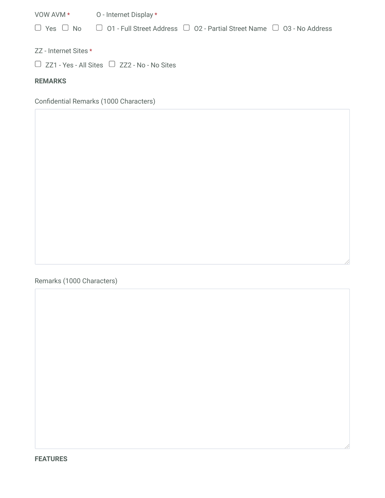VOW AVM \* O - Internet Display \*  $\Box$  Yes  $\Box$  No  $\Box$  O1 - Full Street Address  $\Box$  O2 - Partial Street Name  $\Box$  O3 - No Address

ZZ - Internet Sites \*

 $\Box$  ZZ1 - Yes - All Sites  $\Box$  ZZ2 - No - No Sites

**REMARKS**

Confidential Remarks (1000 Characters)

Remarks (1000 Characters)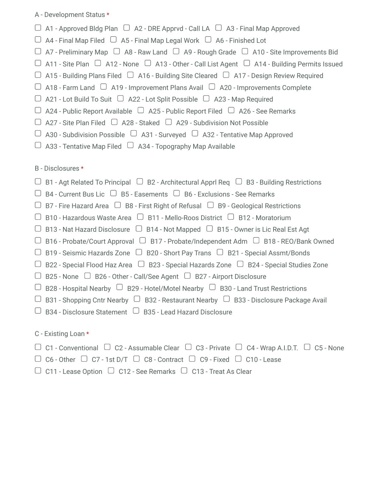## A - Development Status \*

- $\Box$  A1 Approved Bldg Plan  $\Box$  A2 DRE Apprvd Call LA  $\Box$  A3 Final Map Approved
- $\Box$  A4 Final Map Filed  $\Box$  A5 Final Map Legal Work  $\Box$  A6 Finished Lot
- $\Box$  A7 Preliminary Map  $\Box$  A8 Raw Land  $\Box$  A9 Rough Grade  $\Box$  A10 Site Improvements Bid
- $\Box$  A11 Site Plan  $\Box$  A12 None  $\Box$  A13 Other Call List Agent  $\Box$  A14 Building Permits Issued
- $\Box$  A15 Building Plans Filed  $\Box$  A16 Building Site Cleared  $\Box$  A17 Design Review Required
- $\Box$  A18 Farm Land  $\Box$  A19 Improvement Plans Avail  $\Box$  A20 Improvements Complete
- $\Box$  A21 Lot Build To Suit  $\Box$  A22 Lot Split Possible  $\Box$  A23 Map Required
- $\Box$  A24 Public Report Available  $\Box$  A25 Public Report Filed  $\Box$  A26 See Remarks
- $\Box$  A27 Site Plan Filed  $\Box$  A28 Staked  $\Box$  A29 Subdivision Not Possible
- $\Box$  A30 Subdivision Possible  $\Box$  A31 Surveyed  $\Box$  A32 Tentative Map Approved
- $\Box$  A33 Tentative Map Filed  $\Box$  A34 Topography Map Available

B - Disclosures \*

- $\Box$  B1 Agt Related To Principal  $\Box$  B2 Architectural Apprl Req  $\Box$  B3 Building Restrictions
- $\Box$  B4 Current Bus Lic  $\Box$  B5 Easements  $\Box$  B6 Exclusions See Remarks
- $\Box$  B7 Fire Hazard Area  $\Box$  B8 First Right of Refusal  $\Box$  B9 Geological Restrictions
- $\Box$  B10 Hazardous Waste Area  $\Box$  B11 Mello-Roos District  $\Box$  B12 Moratorium
- $\Box$  B13 Nat Hazard Disclosure  $\Box$  B14 Not Mapped  $\Box$  B15 Owner is Lic Real Est Agt
- $\Box$  B16 Probate/Court Approval  $\Box$  B17 Probate/Independent Adm  $\Box$  B18 REO/Bank Owned
- $\Box$  B19 Seismic Hazards Zone  $\Box$  B20 Short Pay Trans  $\Box$  B21 Special Assmt/Bonds
- $\Box$  B22 Special Flood Haz Area  $\Box$  B23 Special Hazards Zone  $\Box$  B24 Special Studies Zone
- $\Box$  B25 None  $\Box$  B26 Other Call/See Agent  $\Box$  B27 Airport Disclosure
- $\Box$  B28 Hospital Nearby  $\Box$  B29 Hotel/Motel Nearby  $\Box$  B30 Land Trust Restrictions
- $\Box$  B31 Shopping Cntr Nearby  $\Box$  B32 Restaurant Nearby  $\Box$  B33 Disclosure Package Avail
- $\Box$  B34 Disclosure Statement  $\Box$  B35 Lead Hazard Disclosure
- C Existing Loan \*
- $\Box$  C1 Conventional  $\Box$  C2 Assumable Clear  $\Box$  C3 Private  $\Box$  C4 Wrap A.I.D.T.  $\Box$  C5 None
- $\Box$  C6 Other  $\Box$  C7 1st D/T  $\Box$  C8 Contract  $\Box$  C9 Fixed  $\Box$  C10 Lease
- $\Box$  C11 Lease Option  $\Box$  C12 See Remarks  $\Box$  C13 Treat As Clear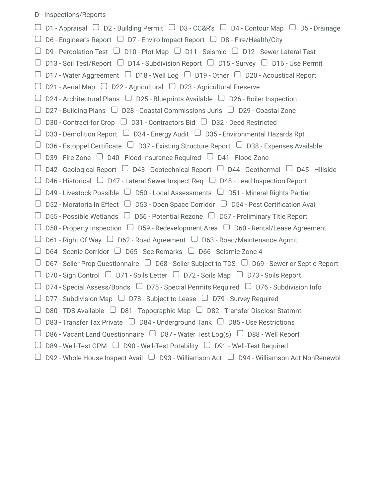## D - Inspections/Reports

 $\Box$  D1 - Appraisal  $\Box$  D2 - Building Permit  $\Box$  D3 - CC&R's  $\Box$  D4 - Contour Map  $\Box$  D5 - Drainage  $\Box$  D6 - Engineer's Report  $\Box$  D7 - Enviro Impact Report  $\Box$  D8 - Fire/Health/City  $\Box$  D9 - Percolation Test  $\Box$  D10 - Plot Map  $\Box$  D11 - Seismic  $\Box$  D12 - Sewer Lateral Test  $\Box$  D13 - Soil Test/Report  $\Box$  D14 - Subdivision Report  $\Box$  D15 - Survey  $\Box$  D16 - Use Permit  $\Box$  D17 - Water Aggreement  $\Box$  D18 - Well Log  $\Box$  D19 - Other  $\Box$  D20 - Acoustical Report  $\Box$  D21 - Aerial Map  $\Box$  D22 - Agricultural  $\Box$  D23 - Agricultural Preserve  $\Box$  D24 - Architectural Plans  $\Box$  D25 - Blueprints Available  $\Box$  D26 - Boiler Inspection  $\Box$  D27 - Building Plans  $\Box$  D28 - Coastal Commissions Juris  $\Box$  D29 - Coastal Zone  $\Box$  D30 - Contract for Crop  $\Box$  D31 - Contractors Bid  $\Box$  D32 - Deed Restricted  $\Box$  D33 - Demolition Report  $\Box$  D34 - Energy Audit  $\Box$  D35 - Environmental Hazards Rpt  $\Box$  D36 - Estoppel Certificate  $\Box$  D37 - Existing Structure Report  $\Box$  D38 - Expenses Available  $\Box$  D39 - Fire Zone  $\Box$  D40 - Flood Insurance Required  $\Box$  D41 - Flood Zone  $\Box$  D42 - Geological Report  $\Box$  D43 - Geotechnical Report  $\Box$  D44 - Geothermal  $\Box$  D45 - Hillside  $\Box$  D46 - Historical  $\Box$  D47 - Lateral Sewer Inspect Req  $\Box$  D48 - Lead Inspection Report  $\Box$  D49 - Livestock Possible  $\Box$  D50 - Local Assessments  $\Box$  D51 - Mineral Rights Partial  $\Box$  D52 - Moratoria In Effect  $\Box$  D53 - Open Space Corridor  $\Box$  D54 - Pest Certification Avail  $\Box$  D55 - Possible Wetlands  $\Box$  D56 - Potential Rezone  $\Box$  D57 - Preliminary Title Report  $\Box$  D58 - Property Inspection  $\Box$  D59 - Redevelopment Area  $\Box$  D60 - Rental/Lease Agreement  $\Box$  D61 - Right Of Way  $\Box$  D62 - Road Agreement  $\Box$  D63 - Road/Maintenance Agrmt  $\Box$  D64 - Scenic Corridor  $\Box$  D65 - See Remarks  $\Box$  D66 - Seismic Zone 4  $\Box$  D67 - Seller Prop Questionnaire  $\Box$  D68 - Seller Subject to TDS  $\Box$  D69 - Sewer or Septic Report  $\Box$  D70 - Sign Control  $\Box$  D71 - Soils Letter  $\Box$  D72 - Soils Map  $\Box$  D73 - Soils Report  $\Box$  D74 - Special Assess/Bonds  $\Box$  D75 - Special Permits Required  $\Box$  D76 - Subdivision Info  $\Box$  D77 - Subdivision Map  $\Box$  D78 - Subject to Lease  $\Box$  D79 - Survey Required  $\Box$  D80 - TDS Available  $\Box$  D81 - Topographic Map  $\Box$  D82 - Transfer Disclosr Statmnt  $\Box$  D83 - Transfer Tax Private  $\Box$  D84 - Underground Tank  $\Box$  D85 - Use Restrictions  $\Box$  D86 - Vacant Land Questionnaire  $\Box$  D87 - Water Test Log(s)  $\Box$  D88 - Well Report  $\Box$  D89 - Well-Test GPM  $\Box$  D90 - Well-Test Potability  $\Box$  D91 - Well-Test Required  $\Box$  D92 - Whole House Inspect Avail  $\Box$  D93 - Williamson Act  $\Box$  D94 - Williamson Act NonRenewbl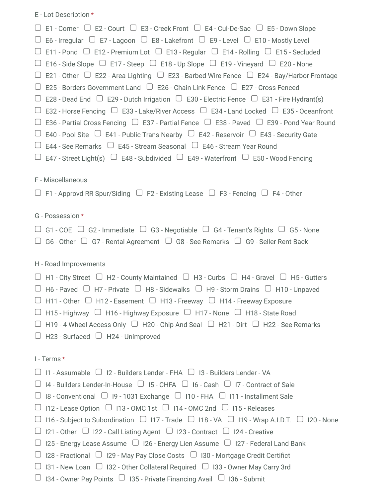E - Lot Description \*

| $\Box$ E1 - Corner $\Box$ E2 - Court $\Box$ E3 - Creek Front $\Box$ E4 - Cul-De-Sac $\Box$ E5 - Down Slope            |
|-----------------------------------------------------------------------------------------------------------------------|
| $\Box$ E6 - Irregular $\Box$ E7 - Lagoon $\Box$ E8 - Lakefront $\Box$ E9 - Level $\Box$ E10 - Mostly Level            |
| $\Box$ E11 - Pond $\Box$ E12 - Premium Lot $\Box$ E13 - Regular $\Box$ E14 - Rolling $\Box$ E15 - Secluded            |
| $\Box$ E16 - Side Slope $\Box$ E17 - Steep $\Box$ E18 - Up Slope $\Box$ E19 - Vineyard $\Box$ E20 - None              |
| $\Box$ E21 - Other $\Box$ E22 - Area Lighting $\Box$ E23 - Barbed Wire Fence $\Box$ E24 - Bay/Harbor Frontage         |
| $\Box$ E25 - Borders Government Land $\Box$ E26 - Chain Link Fence $\Box$ E27 - Cross Fenced                          |
| $\Box$ E28 - Dead End $\Box$ E29 - Dutch Irrigation $\Box$ E30 - Electric Fence $\Box$ E31 - Fire Hydrant(s)          |
| $\Box$ E32 - Horse Fencing $\Box$ E33 - Lake/River Access $\Box$ E34 - Land Locked $\Box$ E35 - Oceanfront            |
| $\Box$ E36 - Partial Cross Fencing $\Box$ E37 - Partial Fence $\Box$ E38 - Paved $\Box$ E39 - Pond Year Round         |
| $\Box$ E40 - Pool Site $\Box$ E41 - Public Trans Nearby $\Box$ E42 - Reservoir $\Box$ E43 - Security Gate             |
| $\Box$ E44 - See Remarks $\Box$ E45 - Stream Seasonal $\Box$ E46 - Stream Year Round                                  |
| $\Box$ E47 - Street Light(s) $\Box$ E48 - Subdivided $\Box$ E49 - Waterfront $\Box$ E50 - Wood Fencing                |
|                                                                                                                       |
| F - Miscellaneous                                                                                                     |
| $\Box$ F1 - Approvd RR Spur/Siding $\Box$ F2 - Existing Lease $\Box$ F3 - Fencing $\Box$ F4 - Other                   |
|                                                                                                                       |
| G - Possession *                                                                                                      |
| $\Box$ G1 - COE $\Box$ G2 - Immediate $\Box$ G3 - Negotiable $\Box$ G4 - Tenant's Rights $\Box$ G5 - None             |
| $\Box$ G6 - Other $\Box$ G7 - Rental Agreement $\Box$ G8 - See Remarks $\Box$ G9 - Seller Rent Back                   |
|                                                                                                                       |
|                                                                                                                       |
| H - Road Improvements                                                                                                 |
| $\Box$ H1 - City Street $\Box$ H2 - County Maintained $\Box$ H3 - Curbs $\Box$ H4 - Gravel $\Box$ H5 - Gutters        |
| $\Box$ H6 - Paved $\Box$ H7 - Private $\Box$ H8 - Sidewalks $\Box$ H9 - Storm Drains $\Box$ H10 - Unpaved             |
| $\Box$ H11 - Other $\Box$ H12 - Easement $\Box$ H13 - Freeway $\Box$ H14 - Freeway Exposure                           |
| $\Box$ H15 - Highway $\Box$ H16 - Highway Exposure $\Box$ H17 - None $\Box$ H18 - State Road                          |
| $\Box$ H19 - 4 Wheel Access Only $\Box$ H20 - Chip And Seal $\Box$ H21 - Dirt $\Box$ H22 - See Remarks                |
| $\Box$ H23 - Surfaced $\Box$ H24 - Unimproved                                                                         |
|                                                                                                                       |
| I - Terms *                                                                                                           |
| $\Box$ 11 - Assumable $\Box$ 12 - Builders Lender - FHA $\Box$ 13 - Builders Lender - VA                              |
| $\Box$ 14 - Builders Lender-In-House $\Box$ 15 - CHFA $\Box$ 16 - Cash $\Box$ 17 - Contract of Sale                   |
| $\Box$ I8 - Conventional $\Box$ I9 - 1031 Exchange $\Box$ I10 - FHA $\Box$ I11 - Installment Sale                     |
| $\Box$ 112 - Lease Option $\Box$ 113 - OMC 1st $\Box$ 114 - OMC 2nd $\Box$ 115 - Releases                             |
| $\Box$ 116 - Subject to Subordination $\Box$ 117 - Trade $\Box$ 118 - VA $\Box$ 119 - Wrap A.I.D.T. $\Box$ 120 - None |
| $\Box$ 121 - Other $\Box$ 122 - Call Listing Agent $\Box$ 123 - Contract $\Box$ 124 - Creative                        |
| $\Box$ 125 - Energy Lease Assume $\Box$ 126 - Energy Lien Assume $\Box$ 127 - Federal Land Bank                       |
| $\Box$ 128 - Fractional $\Box$ 129 - May Pay Close Costs $\Box$ 130 - Mortgage Credit Certifict                       |
| $\Box$ 131 - New Loan $\Box$ 132 - Other Collateral Required $\Box$ 133 - Owner May Carry 3rd                         |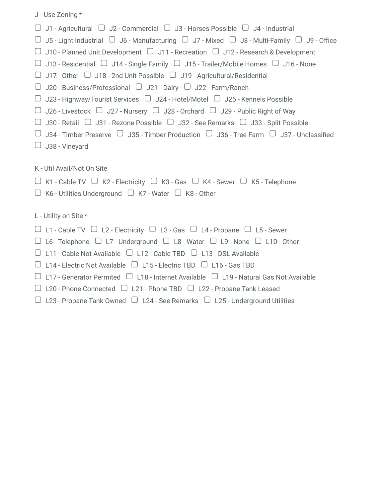|  | J - Use Zoning * |  |
|--|------------------|--|
|  |                  |  |

- $\Box$  J1 Agricultural  $\Box$  J2 Commercial  $\Box$  J3 Horses Possible  $\Box$  J4 Industrial
- $\Box$  J5 Light Industrial  $\Box$  J6 Manufacturing  $\Box$  J7 Mixed  $\Box$  J8 Multi-Family  $\Box$  J9 Office
- $\Box$  J10 Planned Unit Development  $\Box$  J11 Recreation  $\Box$  J12 Research & Development
- $\Box$  J13 Residential  $\Box$  J14 Single Family  $\Box$  J15 Trailer/Mobile Homes  $\Box$  J16 None
- $\Box$  J17 Other  $\Box$  J18 2nd Unit Possible  $\Box$  J19 Agricultural/Residential
- $\Box$  J20 Business/Professional  $\Box$  J21 Dairy  $\Box$  J22 Farm/Ranch
- $\Box$  J23 Highway/Tourist Services  $\Box$  J24 Hotel/Motel  $\Box$  J25 Kennels Possible
- $\Box$  J26 Livestock  $\Box$  J27 Nursery  $\Box$  J28 Orchard  $\Box$  J29 Public Right of Way
- $\Box$  J30 Retail  $\Box$  J31 Rezone Possible  $\Box$  J32 See Remarks  $\Box$  J33 Split Possible
- $\Box$  J34 Timber Preserve  $\Box$  J35 Timber Production  $\Box$  J36 Tree Farm  $\Box$  J37 Unclassified
- $\Box$  J38 Vinevard
- K Util Avail/Not On Site
- $\Box$  K1 Cable TV  $\Box$  K2 Electricity  $\Box$  K3 Gas  $\Box$  K4 Sewer  $\Box$  K5 Telephone
- $\Box$  K6 Utilities Underground  $\Box$  K7 Water  $\Box$  K8 Other
- L Utility on Site \*
- $\Box$  L1 Cable TV  $\Box$  L2 Electricity  $\Box$  L3 Gas  $\Box$  L4 Propane  $\Box$  L5 Sewer
- $\Box$  L6 Telephone  $\Box$  L7 Underground  $\Box$  L8 Water  $\Box$  L9 None  $\Box$  L10 Other
- $\Box$  L11 Cable Not Available  $\Box$  L12 Cable TBD  $\Box$  L13 DSL Available
- $\Box$  L14 Electric Not Available  $\Box$  L15 Electric TBD  $\Box$  L16 Gas TBD
- $\Box$  L17 Generator Permited  $\Box$  L18 Internet Available  $\Box$  L19 Natural Gas Not Available
- $\Box$  L20 Phone Connected  $\Box$  L21 Phone TBD  $\Box$  L22 Propane Tank Leased
- $\Box$  L23 Propane Tank Owned  $\Box$  L24 See Remarks  $\Box$  L25 Underground Utilities